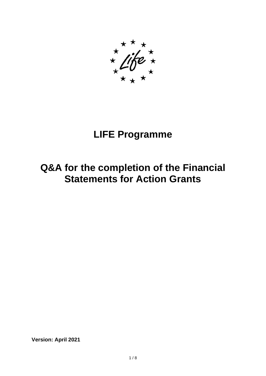# **LIFE Programme**

## **Q&A for the completion of the Financial Statements for Action Grants**

**Version: April 2021**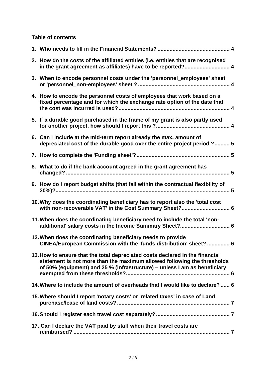## **Table of contents**

| 2. How do the costs of the affiliated entities (i.e. entities that are recognised<br>in the grant agreement as affiliates) have to be reported? 4                                                                                    |
|--------------------------------------------------------------------------------------------------------------------------------------------------------------------------------------------------------------------------------------|
| 3. When to encode personnel costs under the 'personnel_employees' sheet                                                                                                                                                              |
| 4. How to encode the personnel costs of employees that work based on a<br>fixed percentage and for which the exchange rate option of the date that                                                                                   |
| 5. If a durable good purchased in the frame of my grant is also partly used                                                                                                                                                          |
| 6. Can I include at the mid-term report already the max. amount of<br>depreciated cost of the durable good over the entire project period ? 5                                                                                        |
|                                                                                                                                                                                                                                      |
| 8. What to do if the bank account agreed in the grant agreement has                                                                                                                                                                  |
| 9. How do I report budget shifts (that fall within the contractual flexibility of                                                                                                                                                    |
| 10. Why does the coordinating beneficiary has to report also the 'total cost<br>with non-recoverable VAT' in the Cost Summary Sheet? 6                                                                                               |
| 11. When does the coordinating beneficiary need to include the total 'non-<br>additional' salary costs in the Income Summary Sheet? 6                                                                                                |
| 12. When does the coordinating beneficiary needs to provide<br>CINEA/European Commission with the 'funds distribution' sheet?  6                                                                                                     |
| 13. How to ensure that the total depreciated costs declared in the financial<br>statement is not more than the maximum allowed following the thresholds<br>of 50% (equipment) and 25 % (infrastructure) - unless I am as beneficiary |
| 14. Where to include the amount of overheads that I would like to declare?  6                                                                                                                                                        |
| 15. Where should I report 'notary costs' or 'related taxes' in case of Land                                                                                                                                                          |
|                                                                                                                                                                                                                                      |
| 17. Can I declare the VAT paid by staff when their travel costs are                                                                                                                                                                  |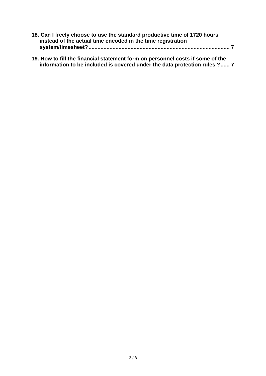| 18. Can I freely choose to use the standard productive time of 1720 hours |  |
|---------------------------------------------------------------------------|--|
| instead of the actual time encoded in the time registration               |  |
|                                                                           |  |

**[19. How to fill the financial statement form on personnel costs if some of the](#page-6-4)  [information to be included is covered under the data protection rules ?......](#page-6-4) 7**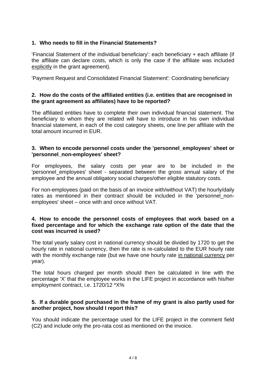## <span id="page-3-0"></span>**1. Who needs to fill in the Financial Statements?**

'Financial Statement of the individual beneficiary': each beneficiary + each affiliate (if the affiliate can declare costs, which is only the case if the affiliate was included explicitly in the grant agreement).

'Payment Request and Consolidated Financial Statement': Coordinating beneficiary

#### <span id="page-3-1"></span>**2. How do the costs of the affiliated entities (i.e. entities that are recognised in the grant agreement as affiliates) have to be reported?**

The affiliated entities have to complete their own individual financial statement. The beneficiary to whom they are related will have to introduce in his own individual financial statement, in each of the cost category sheets, one line per affiliate with the total amount incurred in EUR.

#### <span id="page-3-2"></span>**3. When to encode personnel costs under the 'personnel\_employees' sheet or 'personnel\_non-employees' sheet?**

For employees, the salary costs per year are to be included in the 'personnel employees' sheet - separated between the gross annual salary of the employee and the annual obligatory social charges/other eligible statutory costs.

For non-employees (paid on the basis of an invoice with/without VAT) the hourly/daily rates as mentioned in their contract should be included in the 'personnel nonemployees' sheet – once with and once without VAT.

#### <span id="page-3-3"></span>**4. How to encode the personnel costs of employees that work based on a fixed percentage and for which the exchange rate option of the date that the cost was incurred is used?**

The total yearly salary cost in national currency should be divided by 1720 to get the hourly rate in national currency, then the rate is re-calculated to the EUR hourly rate with the monthly exchange rate (but we have one hourly rate in national currency per year).

The total hours charged per month should then be calculated in line with the percentage 'X' that the employee works in the LIFE project in accordance with his/her employment contract, i.e. 1720/12 \*X%

#### <span id="page-3-4"></span>**5. If a durable good purchased in the frame of my grant is also partly used for another project, how should I report this?**

You should indicate the percentage used for the LIFE project in the comment field (C2) and include only the pro-rata cost as mentioned on the invoice.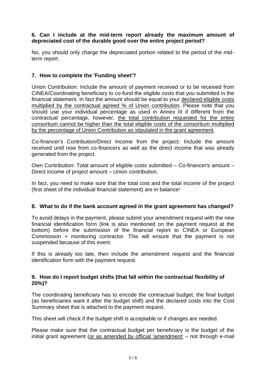### <span id="page-4-0"></span>**6. Can I include at the mid-term report already the maximum amount of depreciated cost of the durable good over the entire project period?**

No, you should only charge the depreciated portion related to the period of the midterm report.

## <span id="page-4-1"></span>**7. How to complete the 'Funding sheet'?**

Union Contribution: Include the amount of payment received or to be received from CINEA/Coordinating beneficiary to co-fund the eligible costs that you submitted in the financial statement. In fact the amount should be equal to your declared eligible costs multiplied by the contractual agreed % of Union contribution. Please note that you should use your individual percentage as used in Annex III if different from the contractual percentage, however, the total contribution requested for the entire consortium cannot be higher than the total eligible costs of the consortium multiplied by the percentage of Union Contribution as stipulated in the grant agreement.

Co-financer's Contribution/Direct Income from the project: Include the amount received until now from co-financers as well as the direct income that was already generated from the project.

Own Contribution: Total amount of eligible costs submitted – Co-financer's amount – Direct income of project amount – Union contribution.

In fact, you need to make sure that the total cost and the total income of the project (first sheet of the individual financial statement) are in balance!

#### <span id="page-4-2"></span>**8. What to do if the bank account agreed in the grant agreement has changed?**

To avoid delays in the payment, please submit your amendment request with the new financial identification form (link is also mentioned on the payment request at the bottom) before the submission of the financial report to CINEA or European Commission + monitoring contractor. This will ensure that the payment is not suspended because of this event.

If this is already too late, then include the amendment request and the financial identification form with the payment request.

#### <span id="page-4-3"></span>**9. How do I report budget shifts (that fall within the contractual flexibility of 20%)?**

The coordinating beneficiary has to encode the contractual budget, the final budget (as beneficiaries want it after the budget shift) and the declared costs into the Cost Summary sheet that is attached to the payment request.

This sheet will check if the budget shift is acceptable or if changes are needed.

Please make sure that the contractual budget per beneficiary is the budget of the initial grant agreement (or as amended by official 'amendment' – not through e-mail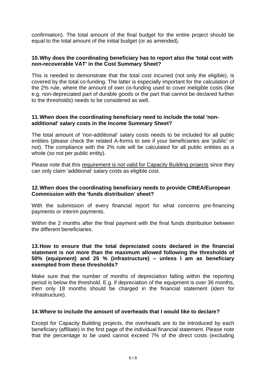confirmation). The total amount of the final budget for the entire project should be equal to the total amount of the initial budget (or as amended).

#### <span id="page-5-0"></span>**10.Why does the coordinating beneficiary has to report also the 'total cost with non-recoverable VAT' in the Cost Summary Sheet?**

This is needed to demonstrate that the total cost incurred (not only the eligible), is covered by the total co-funding. The latter is especially important for the calculation of the 2% rule, where the amount of own co-funding used to cover ineligible costs (like e.g. non-depreciated part of durable goods or the part that cannot be declared further to the thresholds) needs to be considered as well.

#### <span id="page-5-1"></span>**11.When does the coordinating beneficiary need to include the total 'nonadditional' salary costs in the Income Summary Sheet?**

The total amount of 'non-additional' salary costs needs to be included for all public entities (please check the related A-forms to see if your beneficiaries are 'public' or not). The compliance with the 2% rule will be calculated for all public entities as a whole (so not per public entity).

Please note that this requirement is not valid for Capacity Building projects since they can only claim 'additional' salary costs as eligible cost.

#### <span id="page-5-2"></span>**12.When does the coordinating beneficiary needs to provide CINEA/European Commission with the 'funds distribution' sheet?**

With the submission of every financial report for what concerns pre-financing payments or interim payments.

Within the 2 months after the final payment with the final funds distribution between the different beneficiaries.

#### <span id="page-5-3"></span>**13.How to ensure that the total depreciated costs declared in the financial statement is not more than the maximum allowed following the thresholds of 50% (equipment) and 25 % (infrastructure) – unless I am as beneficiary exempted from these thresholds?**

Make sure that the number of months of depreciation falling within the reporting period is below the threshold. E.g. if depreciation of the equipment is over 36 months, then only 18 months should be charged in the financial statement (idem for infrastructure).

#### <span id="page-5-4"></span>**14.Where to include the amount of overheads that I would like to declare?**

Except for Capacity Building projects, the overheads are to be introduced by each beneficiary (affiliate) in the first page of the individual financial statement. Please note that the percentage to be used cannot exceed 7% of the direct costs (excluding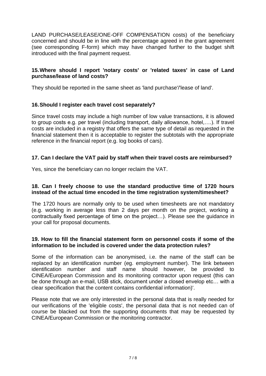LAND PURCHASE/LEASE/ONE-OFF COMPENSATION costs) of the beneficiary concerned and should be in line with the percentage agreed in the grant agreement (see corresponding F-form) which may have changed further to the budget shift introduced with the final payment request.

### <span id="page-6-0"></span>**15.Where should I report 'notary costs' or 'related taxes' in case of Land purchase/lease of land costs?**

They should be reported in the same sheet as 'land purchase'/'lease of land'.

## <span id="page-6-1"></span>**16.Should I register each travel cost separately?**

Since travel costs may include a high number of low value transactions, it is allowed to group costs e.g. per travel (including transport, daily allowance, hotel,….). If travel costs are included in a registry that offers the same type of detail as requested in the financial statement then it is acceptable to register the subtotals with the appropriate reference in the financial report (e.g. log books of cars).

### <span id="page-6-2"></span>**17. Can I declare the VAT paid by staff when their travel costs are reimbursed?**

Yes, since the beneficiary can no longer reclaim the VAT.

#### <span id="page-6-3"></span>**18. Can I freely choose to use the standard productive time of 1720 hours instead of the actual time encoded in the time registration system/timesheet?**

The 1720 hours are normally only to be used when timesheets are not mandatory (e.g. working in average less than 2 days per month on the project, working a contractually fixed percentage of time on the project…). Please see the guidance in your call for proposal documents.

### <span id="page-6-4"></span>**19. How to fill the financial statement form on personnel costs if some of the information to be included is covered under the data protection rules?**

Some of the information can be anonymised, i.e. the name of the staff can be replaced by an identification number (eg. employment number). The link between identification number and staff name should however, be provided to CINEA/European Commission and its monitoring contractor upon request (this can be done through an e-mail, USB stick, document under a closed envelop etc… with a clear specification that the content contains confidential information)'.

Please note that we are only interested in the personal data that is really needed for our verifications of the 'eligible costs', the personal data that is not needed can of course be blacked out from the supporting documents that may be requested by CINEA/European Commission or the monitoring contractor.